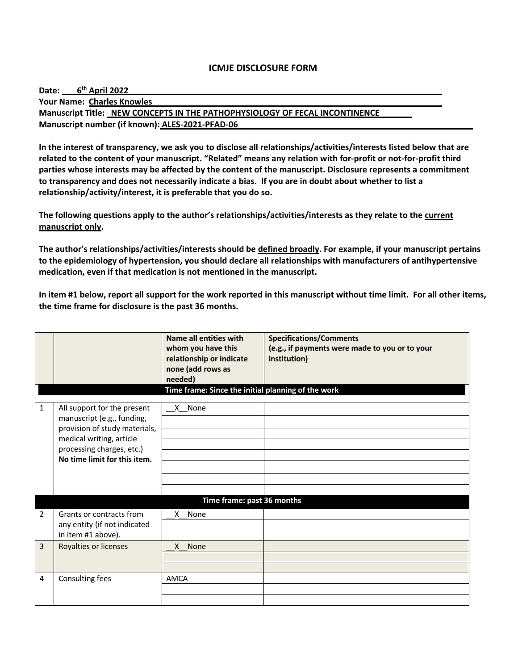| Date: 6 <sup>th</sup> April 2022                                            |  |
|-----------------------------------------------------------------------------|--|
| <b>Your Name: Charles Knowles</b>                                           |  |
| Manuscript Title: NEW CONCEPTS IN THE PATHOPHYSIOLOGY OF FECAL INCONTINENCE |  |
| Manuscript number (if known): ALES-2021-PFAD-06                             |  |

**In the interest of transparency, we ask you to disclose all relationships/activities/interests listed below that are related to the content of your manuscript. "Related" means any relation with for-profit or not-for-profit third parties whose interests may be affected by the content of the manuscript. Disclosure represents a commitment to transparency and does not necessarily indicate a bias. If you are in doubt about whether to list a relationship/activity/interest, it is preferable that you do so.** 

**The following questions apply to the author's relationships/activities/interests as they relate to the current manuscript only.**

**The author's relationships/activities/interests should be defined broadly. For example, if your manuscript pertains to the epidemiology of hypertension, you should declare all relationships with manufacturers of antihypertensive medication, even if that medication is not mentioned in the manuscript.** 

|                |                                                                                                                                                                                     | Name all entities with<br>whom you have this<br>relationship or indicate<br>none (add rows as<br>needed)<br>Time frame: Since the initial planning of the work | <b>Specifications/Comments</b><br>(e.g., if payments were made to you or to your<br>institution) |
|----------------|-------------------------------------------------------------------------------------------------------------------------------------------------------------------------------------|----------------------------------------------------------------------------------------------------------------------------------------------------------------|--------------------------------------------------------------------------------------------------|
|                |                                                                                                                                                                                     |                                                                                                                                                                |                                                                                                  |
| $\mathbf{1}$   | All support for the present<br>manuscript (e.g., funding,<br>provision of study materials,<br>medical writing, article<br>processing charges, etc.)<br>No time limit for this item. | $X$ None                                                                                                                                                       |                                                                                                  |
|                |                                                                                                                                                                                     | Time frame: past 36 months                                                                                                                                     |                                                                                                  |
| $\overline{2}$ | Grants or contracts from<br>any entity (if not indicated<br>in item #1 above).                                                                                                      | X None                                                                                                                                                         |                                                                                                  |
| 3              | Royalties or licenses                                                                                                                                                               | X None                                                                                                                                                         |                                                                                                  |
| 4              | Consulting fees                                                                                                                                                                     | AMCA                                                                                                                                                           |                                                                                                  |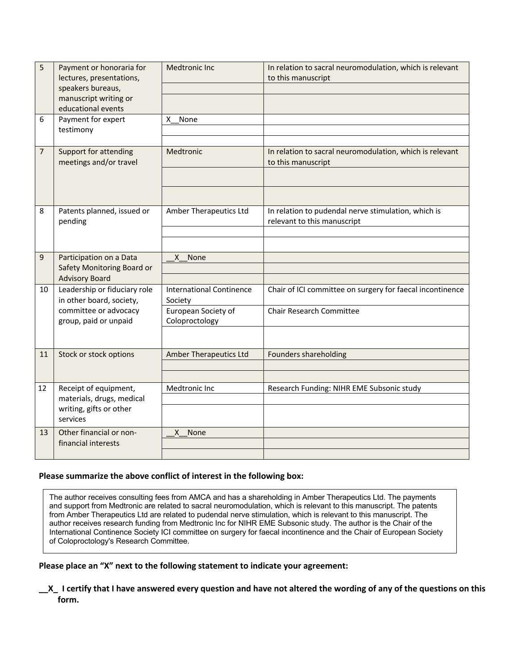| 5              | Payment or honoraria for<br>lectures, presentations,<br>speakers bureaus,<br>manuscript writing or<br>educational events | <b>Medtronic Inc</b>                                                                | In relation to sacral neuromodulation, which is relevant<br>to this manuscript               |
|----------------|--------------------------------------------------------------------------------------------------------------------------|-------------------------------------------------------------------------------------|----------------------------------------------------------------------------------------------|
| 6              | Payment for expert<br>testimony                                                                                          | X.<br>None                                                                          |                                                                                              |
| $\overline{7}$ | Support for attending<br>meetings and/or travel                                                                          | Medtronic                                                                           | In relation to sacral neuromodulation, which is relevant<br>to this manuscript               |
| 8              | Patents planned, issued or<br>pending                                                                                    | Amber Therapeutics Ltd                                                              | In relation to pudendal nerve stimulation, which is<br>relevant to this manuscript           |
| 9              | Participation on a Data<br>Safety Monitoring Board or<br><b>Advisory Board</b>                                           | X None                                                                              |                                                                                              |
| 10             | Leadership or fiduciary role<br>in other board, society,<br>committee or advocacy<br>group, paid or unpaid               | <b>International Continence</b><br>Society<br>European Society of<br>Coloproctology | Chair of ICI committee on surgery for faecal incontinence<br><b>Chair Research Committee</b> |
|                |                                                                                                                          |                                                                                     |                                                                                              |
| 11             | Stock or stock options                                                                                                   | Amber Therapeutics Ltd                                                              | Founders shareholding                                                                        |
| 12             | Receipt of equipment,<br>materials, drugs, medical<br>writing, gifts or other<br>services                                | Medtronic Inc                                                                       | Research Funding: NIHR EME Subsonic study                                                    |
| 13             | Other financial or non-<br>financial interests                                                                           | None<br>X                                                                           |                                                                                              |

The author receives consulting fees from AMCA and has a shareholding in Amber Therapeutics Ltd. The payments and support from Medtronic are related to sacral neuromodulation, which is relevant to this manuscript. The patents from Amber Therapeutics Ltd are related to pudendal nerve stimulation, which is relevant to this manuscript. The author receives research funding from Medtronic Inc for NIHR EME Subsonic study. The author is the Chair of the International Continence Society ICI committee on surgery for faecal incontinence and the Chair of European Society of Coloproctology's Research Committee.

## **Please place an "X" next to the following statement to indicate your agreement:**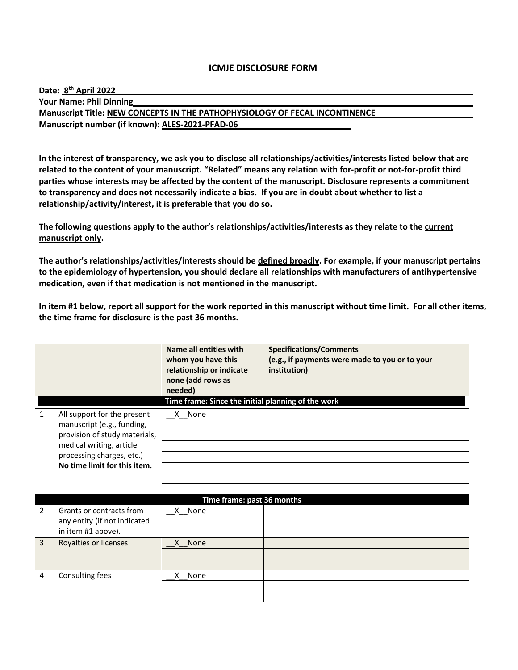| Date: 8 <sup>th</sup> April 2022                                            |  |
|-----------------------------------------------------------------------------|--|
| <b>Your Name: Phil Dinning</b>                                              |  |
| Manuscript Title: NEW CONCEPTS IN THE PATHOPHYSIOLOGY OF FECAL INCONTINENCE |  |
| Manuscript number (if known): ALES-2021-PFAD-06                             |  |

**In the interest of transparency, we ask you to disclose all relationships/activities/interests listed below that are related to the content of your manuscript. "Related" means any relation with for-profit or not-for-profit third parties whose interests may be affected by the content of the manuscript. Disclosure represents a commitment to transparency and does not necessarily indicate a bias. If you are in doubt about whether to list a relationship/activity/interest, it is preferable that you do so.** 

**The following questions apply to the author's relationships/activities/interests as they relate to the current manuscript only.**

**The author's relationships/activities/interests should be defined broadly. For example, if your manuscript pertains to the epidemiology of hypertension, you should declare all relationships with manufacturers of antihypertensive medication, even if that medication is not mentioned in the manuscript.** 

|              |                                                                                                                                                                                     | Name all entities with<br>whom you have this<br>relationship or indicate<br>none (add rows as<br>needed)<br>Time frame: Since the initial planning of the work | <b>Specifications/Comments</b><br>(e.g., if payments were made to you or to your<br>institution) |
|--------------|-------------------------------------------------------------------------------------------------------------------------------------------------------------------------------------|----------------------------------------------------------------------------------------------------------------------------------------------------------------|--------------------------------------------------------------------------------------------------|
| $\mathbf{1}$ | All support for the present<br>manuscript (e.g., funding,<br>provision of study materials,<br>medical writing, article<br>processing charges, etc.)<br>No time limit for this item. | X None                                                                                                                                                         |                                                                                                  |
|              |                                                                                                                                                                                     | Time frame: past 36 months                                                                                                                                     |                                                                                                  |
| 2            | Grants or contracts from<br>any entity (if not indicated<br>in item #1 above).                                                                                                      | X None                                                                                                                                                         |                                                                                                  |
| 3            | Royalties or licenses                                                                                                                                                               | X None                                                                                                                                                         |                                                                                                  |
|              |                                                                                                                                                                                     |                                                                                                                                                                |                                                                                                  |
| 4            | Consulting fees                                                                                                                                                                     | X None                                                                                                                                                         |                                                                                                  |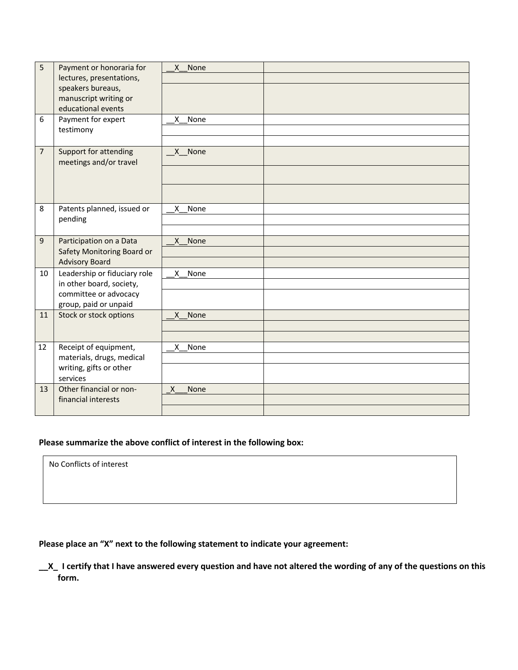| 5<br>6         | Payment or honoraria for<br>lectures, presentations,<br>speakers bureaus,<br>manuscript writing or<br>educational events<br>Payment for expert<br>testimony | X None<br>None<br>X. |
|----------------|-------------------------------------------------------------------------------------------------------------------------------------------------------------|----------------------|
| $\overline{7}$ | Support for attending<br>meetings and/or travel                                                                                                             | X None               |
| 8              | Patents planned, issued or<br>pending                                                                                                                       | X.<br>None           |
| 9              | Participation on a Data<br>Safety Monitoring Board or<br><b>Advisory Board</b>                                                                              | $\mathsf{x}$<br>None |
| 10             | Leadership or fiduciary role<br>in other board, society,<br>committee or advocacy<br>group, paid or unpaid                                                  | None<br>$\mathsf{X}$ |
| 11             | Stock or stock options                                                                                                                                      | None<br>X            |
| 12             | Receipt of equipment,<br>materials, drugs, medical<br>writing, gifts or other<br>services                                                                   | X<br>None            |
| 13             | Other financial or non-<br>financial interests                                                                                                              | X<br>None            |

No Conflicts of interest

# **Please place an "X" next to the following statement to indicate your agreement:**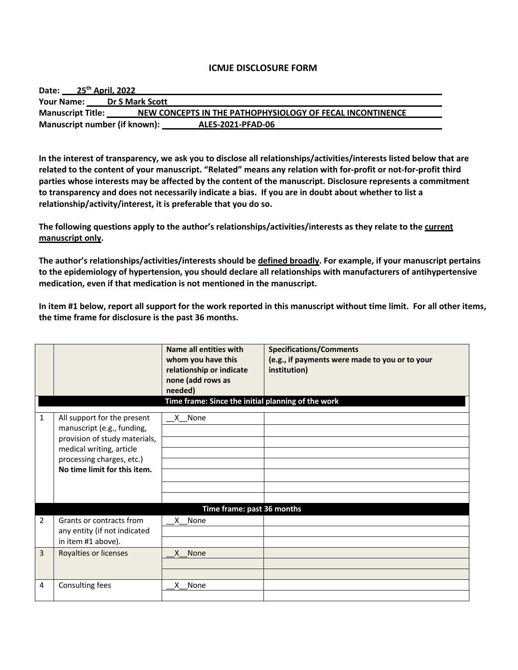| 25 <sup>th</sup> April, 2022<br>Date: |                                                           |  |
|---------------------------------------|-----------------------------------------------------------|--|
| <b>Your Name:</b>                     | <b>Dr S Mark Scott</b>                                    |  |
| <b>Manuscript Title:</b>              | NEW CONCEPTS IN THE PATHOPHYSIOLOGY OF FECAL INCONTINENCE |  |
| Manuscript number (if known):         | ALES-2021-PFAD-06                                         |  |

**In the interest of transparency, we ask you to disclose all relationships/activities/interests listed below that are related to the content of your manuscript. "Related" means any relation with for-profit or not-for-profit third parties whose interests may be affected by the content of the manuscript. Disclosure represents a commitment to transparency and does not necessarily indicate a bias. If you are in doubt about whether to list a relationship/activity/interest, it is preferable that you do so.** 

**The following questions apply to the author's relationships/activities/interests as they relate to the current manuscript only.**

**The author's relationships/activities/interests should be defined broadly. For example, if your manuscript pertains to the epidemiology of hypertension, you should declare all relationships with manufacturers of antihypertensive medication, even if that medication is not mentioned in the manuscript.** 

|                |                                                                                                                                                                                     | Name all entities with<br>whom you have this<br>relationship or indicate<br>none (add rows as<br>needed)<br>Time frame: Since the initial planning of the work | <b>Specifications/Comments</b><br>(e.g., if payments were made to you or to your<br>institution) |
|----------------|-------------------------------------------------------------------------------------------------------------------------------------------------------------------------------------|----------------------------------------------------------------------------------------------------------------------------------------------------------------|--------------------------------------------------------------------------------------------------|
| $\mathbf{1}$   | All support for the present<br>manuscript (e.g., funding,<br>provision of study materials,<br>medical writing, article<br>processing charges, etc.)<br>No time limit for this item. | X None                                                                                                                                                         |                                                                                                  |
|                |                                                                                                                                                                                     | Time frame: past 36 months                                                                                                                                     |                                                                                                  |
| $\overline{2}$ | Grants or contracts from<br>any entity (if not indicated<br>in item #1 above).                                                                                                      | X None                                                                                                                                                         |                                                                                                  |
| $\overline{3}$ | Royalties or licenses                                                                                                                                                               | X None                                                                                                                                                         |                                                                                                  |
| 4              | Consulting fees                                                                                                                                                                     | X None                                                                                                                                                         |                                                                                                  |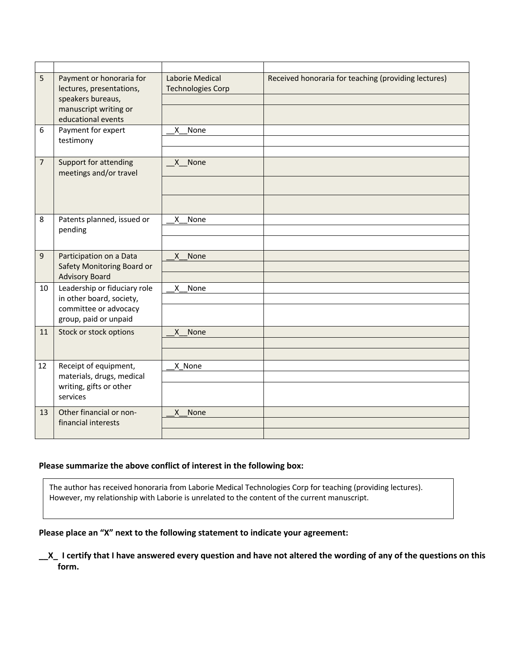| 5              | Payment or honoraria for<br>lectures, presentations,<br>speakers bureaus,<br>manuscript writing or<br>educational events | Laborie Medical<br><b>Technologies Corp</b> | Received honoraria for teaching (providing lectures) |
|----------------|--------------------------------------------------------------------------------------------------------------------------|---------------------------------------------|------------------------------------------------------|
| 6              | Payment for expert<br>testimony                                                                                          | None<br>X.                                  |                                                      |
| $\overline{7}$ | Support for attending<br>meetings and/or travel                                                                          | X None                                      |                                                      |
| 8              | Patents planned, issued or<br>pending                                                                                    | None<br>X.                                  |                                                      |
| 9              | Participation on a Data<br>Safety Monitoring Board or<br><b>Advisory Board</b>                                           | X None                                      |                                                      |
| 10             | Leadership or fiduciary role<br>in other board, society,<br>committee or advocacy<br>group, paid or unpaid               | X<br>None                                   |                                                      |
| 11             | Stock or stock options                                                                                                   | None<br>X                                   |                                                      |
| 12             | Receipt of equipment,<br>materials, drugs, medical<br>writing, gifts or other<br>services                                | X None                                      |                                                      |
| 13             | Other financial or non-<br>financial interests                                                                           | None<br>$\mathsf{x}$                        |                                                      |

The author has received honoraria from Laborie Medical Technologies Corp for teaching (providing lectures). However, my relationship with Laborie is unrelated to the content of the current manuscript.

## **Please place an "X" next to the following statement to indicate your agreement:**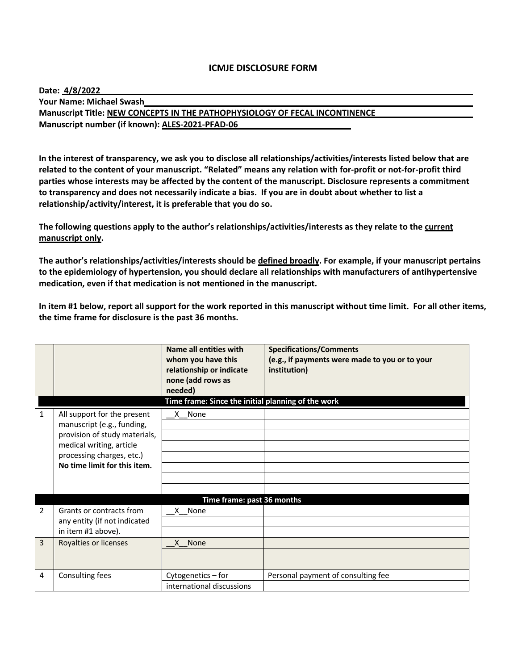| Date: 4/8/2022                                                              |
|-----------------------------------------------------------------------------|
| <b>Your Name: Michael Swash</b>                                             |
| Manuscript Title: NEW CONCEPTS IN THE PATHOPHYSIOLOGY OF FECAL INCONTINENCE |
| Manuscript number (if known): ALES-2021-PFAD-06                             |

**In the interest of transparency, we ask you to disclose all relationships/activities/interests listed below that are related to the content of your manuscript. "Related" means any relation with for-profit or not-for-profit third parties whose interests may be affected by the content of the manuscript. Disclosure represents a commitment to transparency and does not necessarily indicate a bias. If you are in doubt about whether to list a relationship/activity/interest, it is preferable that you do so.** 

**The following questions apply to the author's relationships/activities/interests as they relate to the current manuscript only.**

**The author's relationships/activities/interests should be defined broadly. For example, if your manuscript pertains to the epidemiology of hypertension, you should declare all relationships with manufacturers of antihypertensive medication, even if that medication is not mentioned in the manuscript.** 

|              |                                                                                                                                                                                     | Name all entities with<br>whom you have this<br>relationship or indicate<br>none (add rows as<br>needed) | <b>Specifications/Comments</b><br>(e.g., if payments were made to you or to your<br>institution) |
|--------------|-------------------------------------------------------------------------------------------------------------------------------------------------------------------------------------|----------------------------------------------------------------------------------------------------------|--------------------------------------------------------------------------------------------------|
| $\mathbf{1}$ | All support for the present<br>manuscript (e.g., funding,<br>provision of study materials,<br>medical writing, article<br>processing charges, etc.)<br>No time limit for this item. | Time frame: Since the initial planning of the work<br>X None                                             |                                                                                                  |
|              |                                                                                                                                                                                     | Time frame: past 36 months                                                                               |                                                                                                  |
| 2            | Grants or contracts from<br>any entity (if not indicated<br>in item #1 above).                                                                                                      | X None                                                                                                   |                                                                                                  |
| 3            | Royalties or licenses                                                                                                                                                               | None<br>X.                                                                                               |                                                                                                  |
| 4            | Consulting fees                                                                                                                                                                     | Cytogenetics - for<br>international discussions                                                          | Personal payment of consulting fee                                                               |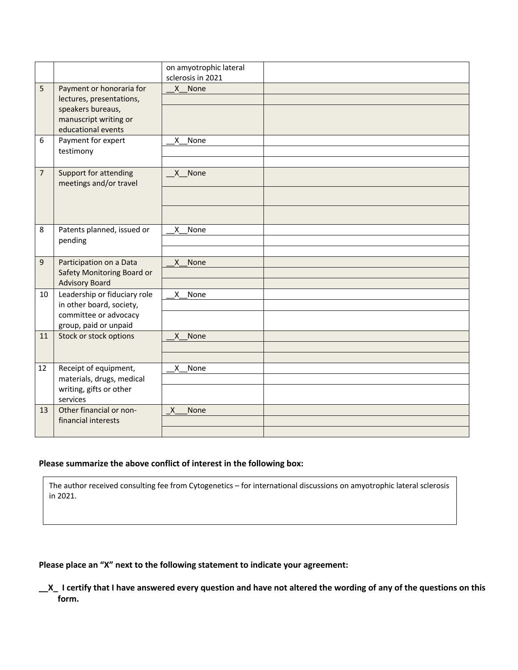|                |                                                                                                                          | on amyotrophic lateral<br>sclerosis in 2021 |
|----------------|--------------------------------------------------------------------------------------------------------------------------|---------------------------------------------|
| 5              | Payment or honoraria for<br>lectures, presentations,<br>speakers bureaus,<br>manuscript writing or<br>educational events | X None                                      |
| 6              | Payment for expert<br>testimony                                                                                          | X<br>None                                   |
| $\overline{7}$ | Support for attending<br>meetings and/or travel                                                                          | X None                                      |
| 8              | Patents planned, issued or<br>pending                                                                                    | None<br>X                                   |
| 9              | Participation on a Data<br>Safety Monitoring Board or<br><b>Advisory Board</b>                                           | X<br><b>None</b>                            |
| 10             | Leadership or fiduciary role<br>in other board, society,<br>committee or advocacy<br>group, paid or unpaid               | X<br>None                                   |
| 11             | Stock or stock options                                                                                                   | X None                                      |
| 12             | Receipt of equipment,<br>materials, drugs, medical<br>writing, gifts or other<br>services                                | None<br>X.                                  |
| 13             | Other financial or non-<br>financial interests                                                                           | $\mathsf{X}$<br>None                        |

The author received consulting fee from Cytogenetics – for international discussions on amyotrophic lateral sclerosis in 2021.

# **Please place an "X" next to the following statement to indicate your agreement:**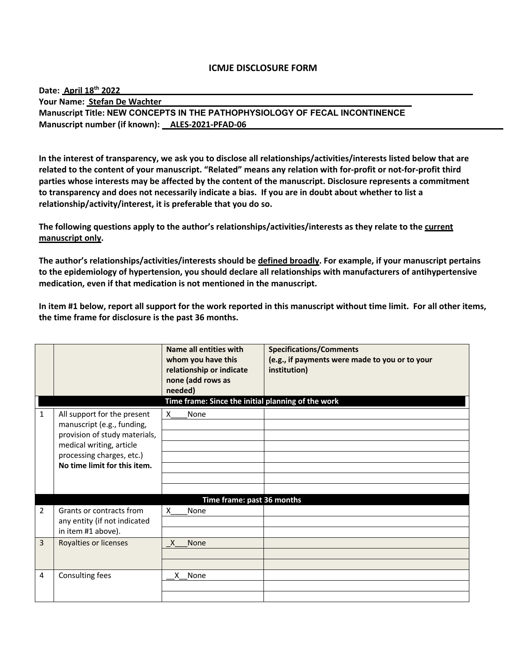| Date: April 18 <sup>th</sup> 2022                                           |  |  |  |  |  |
|-----------------------------------------------------------------------------|--|--|--|--|--|
| Your Name: Stefan De Wachter                                                |  |  |  |  |  |
| Manuscript Title: NEW CONCEPTS IN THE PATHOPHYSIOLOGY OF FECAL INCONTINENCE |  |  |  |  |  |
| Manuscript number (if known): ALES-2021-PFAD-06                             |  |  |  |  |  |

**In the interest of transparency, we ask you to disclose all relationships/activities/interests listed below that are related to the content of your manuscript. "Related" means any relation with for-profit or not-for-profit third parties whose interests may be affected by the content of the manuscript. Disclosure represents a commitment to transparency and does not necessarily indicate a bias. If you are in doubt about whether to list a relationship/activity/interest, it is preferable that you do so.** 

**The following questions apply to the author's relationships/activities/interests as they relate to the current manuscript only.**

**The author's relationships/activities/interests should be defined broadly. For example, if your manuscript pertains to the epidemiology of hypertension, you should declare all relationships with manufacturers of antihypertensive medication, even if that medication is not mentioned in the manuscript.** 

|                |                                                       | Name all entities with<br>whom you have this<br>relationship or indicate<br>none (add rows as<br>needed) | <b>Specifications/Comments</b><br>(e.g., if payments were made to you or to your<br>institution) |  |
|----------------|-------------------------------------------------------|----------------------------------------------------------------------------------------------------------|--------------------------------------------------------------------------------------------------|--|
| 1              | All support for the present                           | Time frame: Since the initial planning of the work<br>None<br>X                                          |                                                                                                  |  |
|                | manuscript (e.g., funding,                            |                                                                                                          |                                                                                                  |  |
|                | provision of study materials,                         |                                                                                                          |                                                                                                  |  |
|                | medical writing, article<br>processing charges, etc.) |                                                                                                          |                                                                                                  |  |
|                | No time limit for this item.                          |                                                                                                          |                                                                                                  |  |
|                |                                                       |                                                                                                          |                                                                                                  |  |
|                | Time frame: past 36 months                            |                                                                                                          |                                                                                                  |  |
| $\overline{2}$ | Grants or contracts from                              | $\mathsf{x}$<br>None                                                                                     |                                                                                                  |  |
|                | any entity (if not indicated                          |                                                                                                          |                                                                                                  |  |
|                | in item #1 above).                                    |                                                                                                          |                                                                                                  |  |
| 3              | Royalties or licenses                                 | None<br>X                                                                                                |                                                                                                  |  |
|                |                                                       |                                                                                                          |                                                                                                  |  |
|                |                                                       |                                                                                                          |                                                                                                  |  |
| 4              | Consulting fees                                       | X None                                                                                                   |                                                                                                  |  |
|                |                                                       |                                                                                                          |                                                                                                  |  |
|                |                                                       |                                                                                                          |                                                                                                  |  |